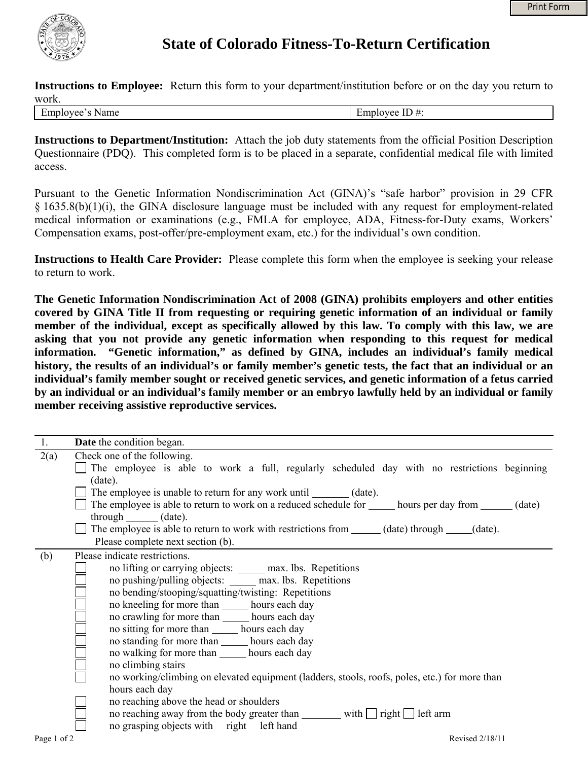

## **State of Colorado Fitness-To-Return Certification**

**Instructions to Employee:** Return this form to your department/institution before or on the day you return to work.

| Employee's Name |
|-----------------|
|                 |

Employee ID  $#$ :

**Instructions to Department/Institution:** Attach the job duty statements from the official Position Description Questionnaire (PDQ). This completed form is to be placed in a separate, confidential medical file with limited access.

Pursuant to the Genetic Information Nondiscrimination Act (GINA)'s "safe harbor" provision in 29 CFR § 1635.8(b)(1)(i), the GINA disclosure language must be included with any request for employment-related medical information or examinations (e.g., FMLA for employee, ADA, Fitness-for-Duty exams, Workers' Compensation exams, post-offer/pre-employment exam, etc.) for the individual's own condition.

**Instructions to Health Care Provider:** Please complete this form when the employee is seeking your release to return to work.

**The Genetic Information Nondiscrimination Act of 2008 (GINA) prohibits employers and other entities covered by GINA Title II from requesting or requiring genetic information of an individual or family member of the individual, except as specifically allowed by this law. To comply with this law, we are asking that you not provide any genetic information when responding to this request for medical information. "Genetic information," as defined by GINA, includes an individual's family medical history, the results of an individual's or family member's genetic tests, the fact that an individual or an individual's family member sought or received genetic services, and genetic information of a fetus carried by an individual or an individual's family member or an embryo lawfully held by an individual or family member receiving assistive reproductive services.**

| 1.          | <b>Date</b> the condition began.                                                                                                                                                                                                                                                                                                                                                                                                                                                                                                                                                                                                                                                                                                                                                                    |
|-------------|-----------------------------------------------------------------------------------------------------------------------------------------------------------------------------------------------------------------------------------------------------------------------------------------------------------------------------------------------------------------------------------------------------------------------------------------------------------------------------------------------------------------------------------------------------------------------------------------------------------------------------------------------------------------------------------------------------------------------------------------------------------------------------------------------------|
| 2(a)        | Check one of the following.<br>The employee is able to work a full, regularly scheduled day with no restrictions beginning<br>(date).                                                                                                                                                                                                                                                                                                                                                                                                                                                                                                                                                                                                                                                               |
|             | The employee is unable to return for any work until ________ (date).<br>The employee is able to return to work on a reduced schedule for _______ hours per day from ______ (date)<br>$through$ $(data)$ .<br>The employee is able to return to work with restrictions from ______ (date) through _____ (date).<br>Please complete next section (b).                                                                                                                                                                                                                                                                                                                                                                                                                                                 |
| (b)         | Please indicate restrictions.<br>no lifting or carrying objects: ______ max. lbs. Repetitions<br>no pushing/pulling objects: ______ max. lbs. Repetitions<br>no bending/stooping/squatting/twisting: Repetitions<br>no kneeling for more than _______ hours each day<br>no crawling for more than _______ hours each day<br>no sitting for more than ______ hours each day<br>no standing for more than hours each day<br>no walking for more than ______ hours each day<br>no climbing stairs<br>no working/climbing on elevated equipment (ladders, stools, roofs, poles, etc.) for more than<br>hours each day<br>no reaching above the head or shoulders<br>no reaching away from the body greater than _________ with $\Box$ right $\Box$ left arm<br>no grasping objects with right left hand |
| Page 1 of 2 | Revised 2/18/11                                                                                                                                                                                                                                                                                                                                                                                                                                                                                                                                                                                                                                                                                                                                                                                     |